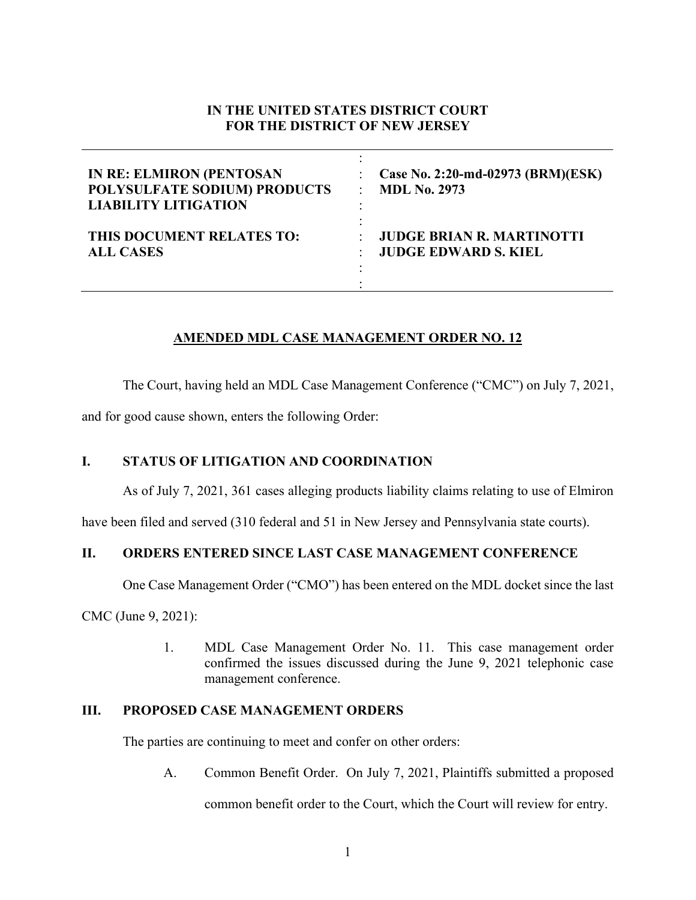# **IN THE UNITED STATES DISTRICT COURT FOR THE DISTRICT OF NEW JERSEY**

| <b>IN RE: ELMIRON (PENTOSAN</b> | Case No. 2:20-md-02973 (BRM)(ESK) |
|---------------------------------|-----------------------------------|
| POLYSULFATE SODIUM) PRODUCTS    | <b>MDL No. 2973</b>               |
| <b>LIABILITY LITIGATION</b>     | $\bullet$                         |
| THIS DOCUMENT RELATES TO:       | <b>JUDGE BRIAN R. MARTINOTTI</b>  |
| <b>ALL CASES</b>                | <b>JUDGE EDWARD S. KIEL</b>       |

# **AMENDED MDL CASE MANAGEMENT ORDER NO. 12**

The Court, having held an MDL Case Management Conference ("CMC") on July 7, 2021,

and for good cause shown, enters the following Order:

# **I. STATUS OF LITIGATION AND COORDINATION**

As of July 7, 2021, 361 cases alleging products liability claims relating to use of Elmiron

have been filed and served (310 federal and 51 in New Jersey and Pennsylvania state courts).

# **II. ORDERS ENTERED SINCE LAST CASE MANAGEMENT CONFERENCE**

One Case Management Order ("CMO") has been entered on the MDL docket since the last

CMC (June 9, 2021):

1. MDL Case Management Order No. 11. This case management order confirmed the issues discussed during the June 9, 2021 telephonic case management conference.

# **III. PROPOSED CASE MANAGEMENT ORDERS**

The parties are continuing to meet and confer on other orders:

A. Common Benefit Order. On July 7, 2021, Plaintiffs submitted a proposed

common benefit order to the Court, which the Court will review for entry.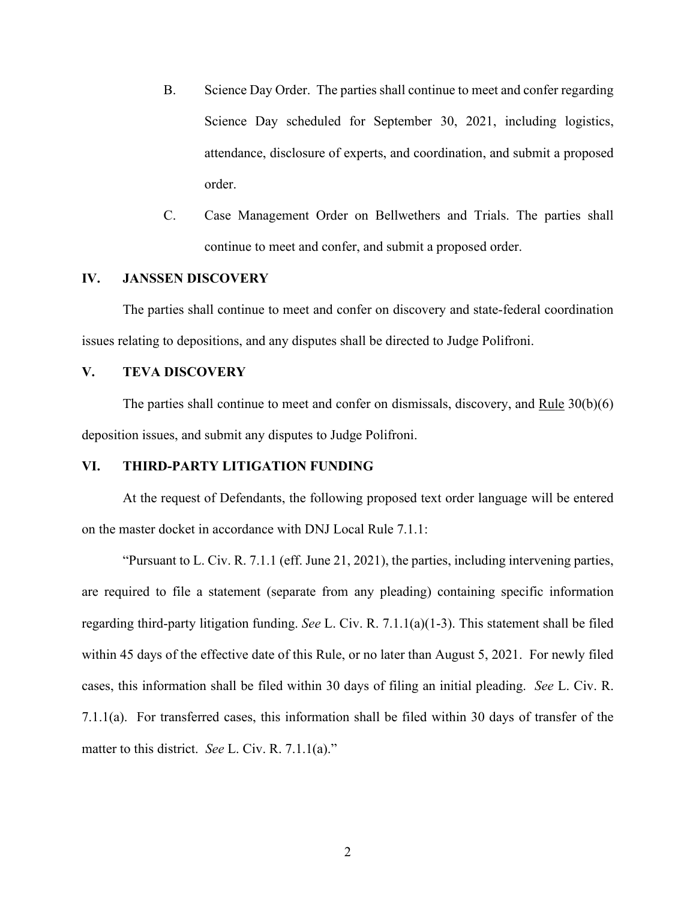- B. Science Day Order. The parties shall continue to meet and confer regarding Science Day scheduled for September 30, 2021, including logistics, attendance, disclosure of experts, and coordination, and submit a proposed order.
- C. Case Management Order on Bellwethers and Trials. The parties shall continue to meet and confer, and submit a proposed order.

### **IV. JANSSEN DISCOVERY**

The parties shall continue to meet and confer on discovery and state-federal coordination issues relating to depositions, and any disputes shall be directed to Judge Polifroni.

### **V. TEVA DISCOVERY**

The parties shall continue to meet and confer on dismissals, discovery, and Rule  $30(b)(6)$ deposition issues, and submit any disputes to Judge Polifroni.

#### **VI. THIRD-PARTY LITIGATION FUNDING**

At the request of Defendants, the following proposed text order language will be entered on the master docket in accordance with DNJ Local Rule 7.1.1:

"Pursuant to L. Civ. R.  $7.1.1$  (eff. June 21, 2021), the parties, including intervening parties, are required to file a statement (separate from any pleading) containing specific information regarding third-party litigation funding. *See* L. Civ. R. 7.1.1(a)(1-3). This statement shall be filed within 45 days of the effective date of this Rule, or no later than August 5, 2021. For newly filed cases, this information shall be filed within 30 days of filing an initial pleading. *See* L. Civ. R. 7.1.1(a). For transferred cases, this information shall be filed within 30 days of transfer of the matter to this district. *See* L. Civ. R. 7.1.1(a)."